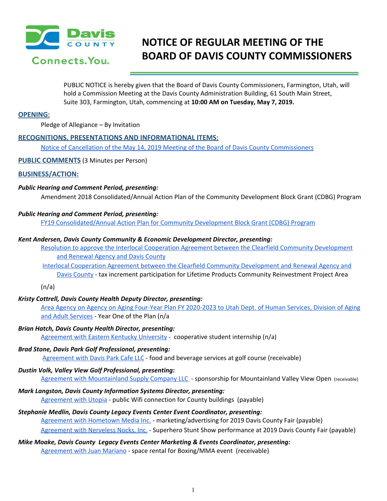

# **NOTICE OF REGULAR MEETING OF THE BOARD OF DAVIS COUNTY COMMISSIONERS**

PUBLIC NOTICE is hereby given that the Board of Davis County Commissioners, Farmington, Utah, will hold a Commission Meeting at the Davis County Administration Building, 61 South Main Street, Suite 303, Farmington, Utah, commencing at **10:00 AM on Tuesday, May 7, 2019.**

## **OPENING:**

Pledge of Allegiance – By Invitation

# **RECOGNITIONS, PRESENTATIONS AND INFORMATIONAL ITEMS:**

Notice of Cancellation of the May 14, 2019 Meeting of the Board of Davis County [Commissioners](https://drive.google.com/a/co.davis.ut.us/file/d/1QQG1ql76g5_w2c1qOGAhU-DjbeM5aq38/view?usp=drivesdk)

**PUBLIC COMMENTS** (3 Minutes per Person)

## **BUSINESS/ACTION:**

## *Public Hearing and Comment Period, presenting:*

Amendment 2018 Consolidated/Annual Action Plan of the Community Development Block Grant (CDBG) Program

# *Public Hearing and Comment Period, presenting:*

FY19 [Consolidated/Annual](https://drive.google.com/a/co.davis.ut.us/file/d/1wmLc7SU-OPhhwxQ1_AL-WNuEy4z1-HgK/view?usp=drivesdk) Action Plan for Community Development Block Grant (CDBG) Program

#### *Kent Andersen, Davis County Community & Economic Development Director, presenting:*

Resolution to approve the Interlocal Cooperation Agreement between the Clearfield Community [Development](https://drive.google.com/a/co.davis.ut.us/file/d/1EQlZn8vPqLreHvd3hRbluPhoG38Jjpqo/view?usp=drivesdk) and [Renewal](https://drive.google.com/a/co.davis.ut.us/file/d/1EQlZn8vPqLreHvd3hRbluPhoG38Jjpqo/view?usp=drivesdk) Agency and Davis County

Interlocal Cooperation Agreement between the Clearfield Community [Development](https://drive.google.com/a/co.davis.ut.us/file/d/1E4WVJiuhVXKAhXLAjH7nkqxd7sYfcjMR/view?usp=drivesdk) and Renewal Agency and Davis [County](https://drive.google.com/a/co.davis.ut.us/file/d/1E4WVJiuhVXKAhXLAjH7nkqxd7sYfcjMR/view?usp=drivesdk) - tax increment participation for Lifetime Products Community Reinvestment Project Area

 $(n/a)$ 

# *Kristy Cottrell, Davis County Health Deputy Director, presenting:*

Area Agency on Agency on Aging Four-Year Plan FY [2020-2023](https://drive.google.com/a/co.davis.ut.us/file/d/1iY5T3bYW_g4fNaF59WMUuiVlEj-X_0ot/view?usp=drivesdk) to Utah Dept. of Human Services, Division of Aging and Adult [Services](https://drive.google.com/a/co.davis.ut.us/file/d/1iY5T3bYW_g4fNaF59WMUuiVlEj-X_0ot/view?usp=drivesdk) - Year One of the Plan (n/a

*Brian Hatch, Davis County Health Director, presenting:*

[Agreement](https://drive.google.com/a/co.davis.ut.us/file/d/1223-Rw-iW1JEV5kRJDFltx5KMj67U1PY/view?usp=drivesdk) with Eastern Kentucky University - cooperative student internship (n/a)

# *Brad Stone, Davis Park Golf Professional, presenting:*

[Agreement](https://drive.google.com/a/co.davis.ut.us/file/d/1SWlsAbxSeVlVm4tzraH2F0_4AsidorVn/view?usp=drivesdk) with Davis Park Cafe LLC - food and beverage services at golf course (receivable)

# *Dustin Volk, Valley View Golf Professional, presenting:*

Agreement with [Mountainland](https://drive.google.com/a/co.davis.ut.us/file/d/1m6aLaAYd0dV71a6DztBCVZrljTeF2of7/view?usp=drivesdk) Supply Company LLC - sponsorship for Mountainland Valley View Open (receivable)

# *Mark Langston, Davis County Information Systems Director, presenting:*

[Agreement](https://drive.google.com/a/co.davis.ut.us/file/d/1D37hjKp3rz7witb_CuObjNIyXyCLVyOt/view?usp=drivesdk) with Utopia - public Wifi connection for County buildings (payable)

# *Stephanie Medlin, Davis County Legacy Events Center Event Coordinator, presenting:* Agreement with [Hometown](https://drive.google.com/a/co.davis.ut.us/file/d/1UhGXv50Yj5mC12p_vEblWmbQCLceEOvz/view?usp=drivesdk) Media Inc. - marketing/advertising for 2019 Davis County Fair (payable) [Agreement](https://drive.google.com/a/co.davis.ut.us/file/d/1hn9EuxjNDhKZtGM65b-DZqQai5KCW-x1/view?usp=drivesdk) with Nerveless Nocks, Inc. - Superhero Stunt Show performance at 2019 Davis County Fair (payable)

# *Mike Moake, Davis County Legacy Events Center Marketing & Events Coordinator, presenting:* [Agreement](https://drive.google.com/a/co.davis.ut.us/file/d/1R1lV9nnTiJHyGDnrTCpmrNDEyjpToN5K/view?usp=drivesdk) with Juan Mariano - space rental for Boxing/MMA event (receivable)